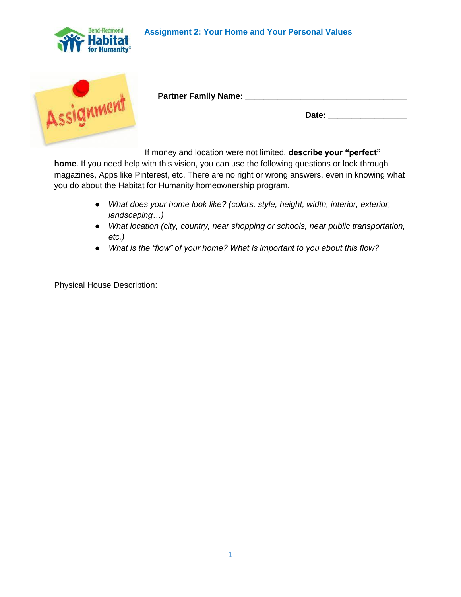## **Assignment 2: Your Home and Your Personal Values**





**Partner Family Name: \_\_\_\_\_\_\_\_\_\_\_\_\_\_\_\_\_\_\_\_\_\_\_\_\_\_\_\_\_\_\_\_\_\_\_**

**Date: \_\_\_\_\_\_\_\_\_\_\_\_\_\_\_\_\_**

## If money and location were not limited, **describe your "perfect"**

**home**. If you need help with this vision, you can use the following questions or look through magazines, Apps like Pinterest, etc. There are no right or wrong answers, even in knowing what you do about the Habitat for Humanity homeownership program.

- *What does your home look like? (colors, style, height, width, interior, exterior, landscaping…)*
- *What location (city, country, near shopping or schools, near public transportation, etc.)*
- *What is the "flow" of your home? What is important to you about this flow?*

Physical House Description: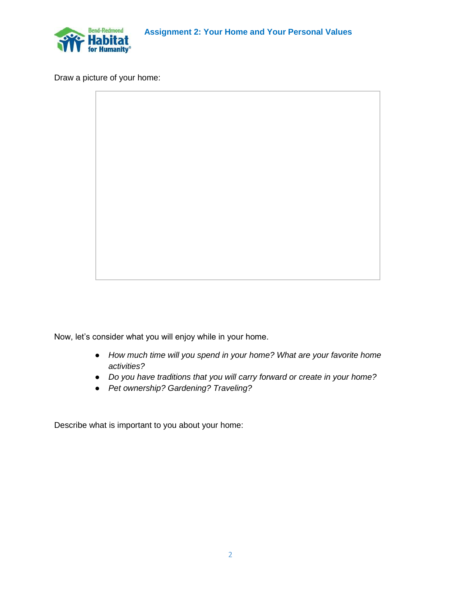

Draw a picture of your home:

Now, let's consider what you will enjoy while in your home.

- *How much time will you spend in your home? What are your favorite home activities?*
- *Do you have traditions that you will carry forward or create in your home?*
- *Pet ownership? Gardening? Traveling?*

Describe what is important to you about your home: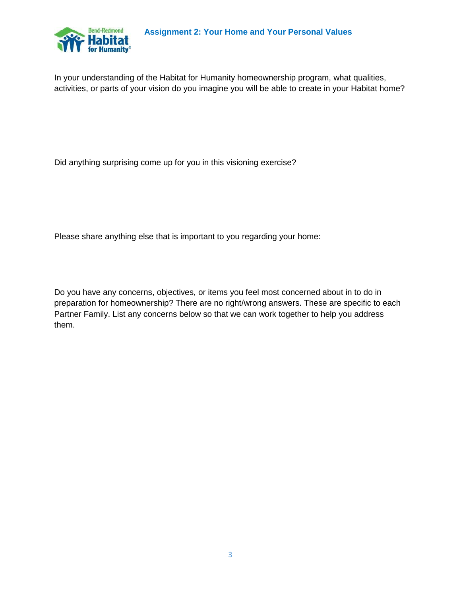

In your understanding of the Habitat for Humanity homeownership program, what qualities, activities, or parts of your vision do you imagine you will be able to create in your Habitat home?

Did anything surprising come up for you in this visioning exercise?

Please share anything else that is important to you regarding your home:

Do you have any concerns, objectives, or items you feel most concerned about in to do in preparation for homeownership? There are no right/wrong answers. These are specific to each Partner Family. List any concerns below so that we can work together to help you address them.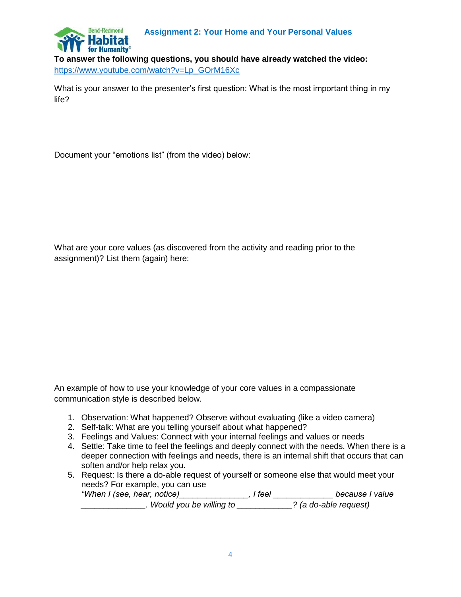

**To answer the following questions, you should have already watched the video:**  [https://www.youtube.com/watch?v=Lp\\_GOrM16Xc](https://www.youtube.com/watch?v=Lp_GOrM16Xc)

What is your answer to the presenter's first question: What is the most important thing in my life?

Document your "emotions list" (from the video) below:

What are your core values (as discovered from the activity and reading prior to the assignment)? List them (again) here:

An example of how to use your knowledge of your core values in a compassionate communication style is described below.

- 1. Observation: What happened? Observe without evaluating (like a video camera)
- 2. Self-talk: What are you telling yourself about what happened?
- 3. Feelings and Values: Connect with your internal feelings and values or needs
- 4. Settle: Take time to feel the feelings and deeply connect with the needs. When there is a deeper connection with feelings and needs, there is an internal shift that occurs that can soften and/or help relax you.
- 5. Request: Is there a do-able request of yourself or someone else that would meet your needs? For example, you can use *"When I (see, hear, notice)\_\_\_\_\_\_\_\_\_\_\_\_\_\_\_, I feel \_\_\_\_\_\_\_\_\_\_\_\_\_ because I value*

*\_\_\_\_\_\_\_\_\_\_\_\_\_\_. Would you be willing to \_\_\_\_\_\_\_\_\_\_\_\_? (a do-able request)*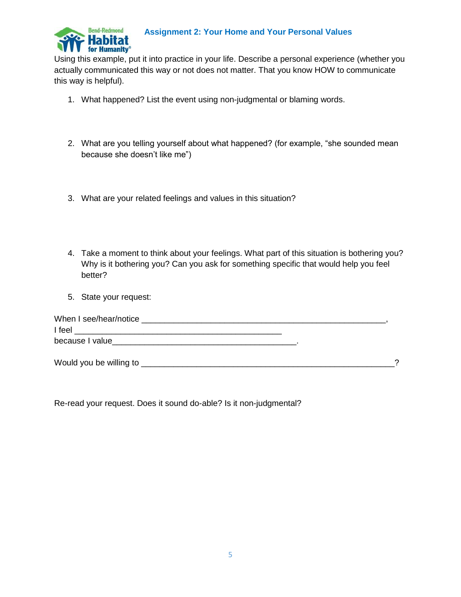

Using this example, put it into practice in your life. Describe a personal experience (whether you actually communicated this way or not does not matter. That you know HOW to communicate this way is helpful).

- 1. What happened? List the event using non-judgmental or blaming words.
- 2. What are you telling yourself about what happened? (for example, "she sounded mean because she doesn't like me")
- 3. What are your related feelings and values in this situation?
- 4. Take a moment to think about your feelings. What part of this situation is bothering you? Why is it bothering you? Can you ask for something specific that would help you feel better?
- 5. State your request:

| When I see/hear/notice  |  |
|-------------------------|--|
| I feel                  |  |
| because I value         |  |
| Would you be willing to |  |

Re-read your request. Does it sound do-able? Is it non-judgmental?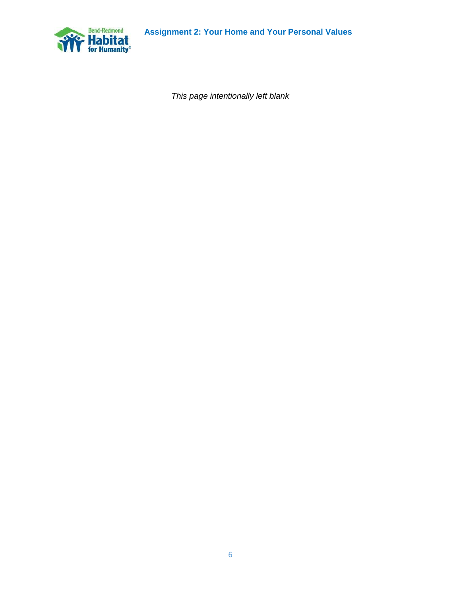

*This page intentionally left blank*